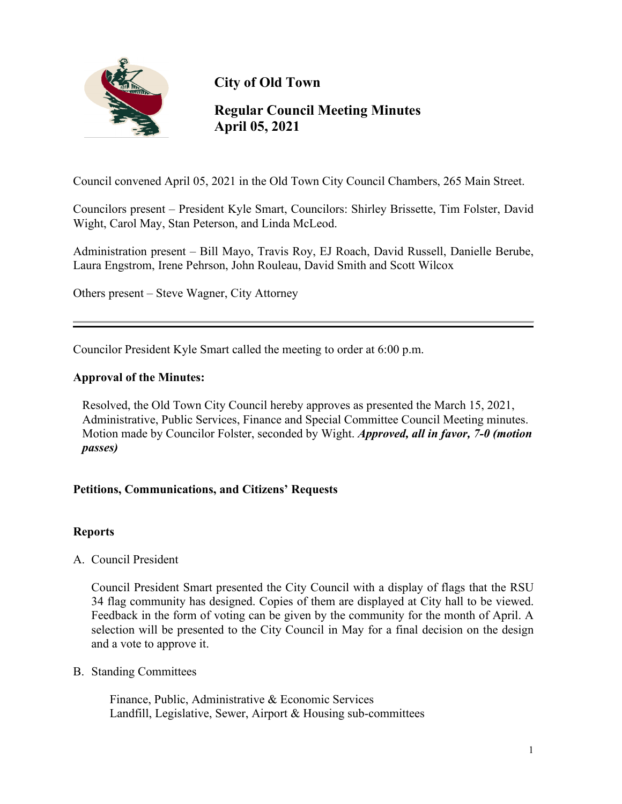

**City of Old Town**

# **Regular Council Meeting Minutes April 05, 2021**

Council convened April 05, 2021 in the Old Town City Council Chambers, 265 Main Street.

Councilors present – President Kyle Smart, Councilors: Shirley Brissette, Tim Folster, David Wight, Carol May, Stan Peterson, and Linda McLeod.

Administration present – Bill Mayo, Travis Roy, EJ Roach, David Russell, Danielle Berube, Laura Engstrom, Irene Pehrson, John Rouleau, David Smith and Scott Wilcox

Others present – Steve Wagner, City Attorney

Councilor President Kyle Smart called the meeting to order at 6:00 p.m.

## **Approval of the Minutes:**

 Resolved, the Old Town City Council hereby approves as presented the March 15, 2021, Administrative, Public Services, Finance and Special Committee Council Meeting minutes. Motion made by Councilor Folster, seconded by Wight. *Approved, all in favor, 7-0 (motion passes)*

# **Petitions, Communications, and Citizens' Requests**

#### **Reports**

A. Council President

Council President Smart presented the City Council with a display of flags that the RSU 34 flag community has designed. Copies of them are displayed at City hall to be viewed. Feedback in the form of voting can be given by the community for the month of April. A selection will be presented to the City Council in May for a final decision on the design and a vote to approve it.

B. Standing Committees

 Finance, Public, Administrative & Economic Services Landfill, Legislative, Sewer, Airport & Housing sub-committees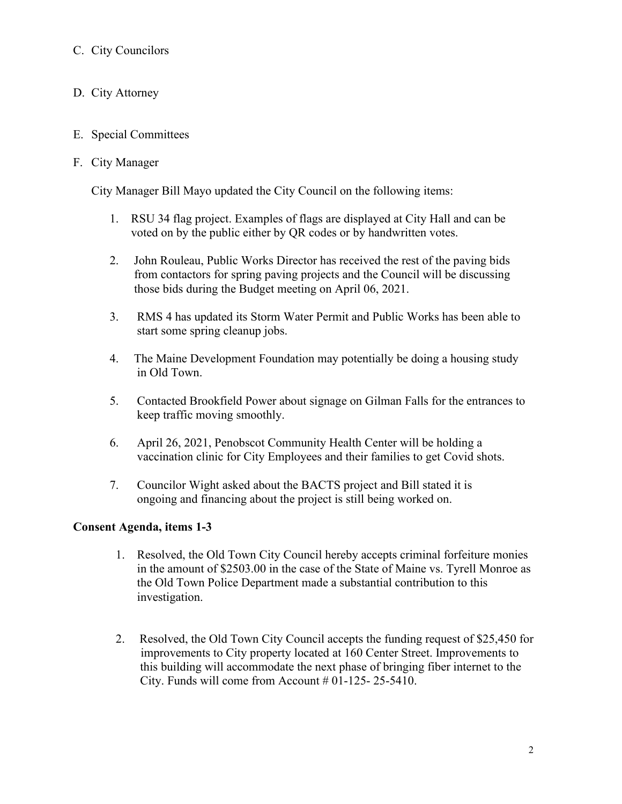# C. City Councilors

- D. City Attorney
- E. Special Committees

## F. City Manager

City Manager Bill Mayo updated the City Council on the following items:

- 1. RSU 34 flag project. Examples of flags are displayed at City Hall and can be voted on by the public either by QR codes or by handwritten votes.
- 2. John Rouleau, Public Works Director has received the rest of the paving bids from contactors for spring paving projects and the Council will be discussing those bids during the Budget meeting on April 06, 2021.
- 3. RMS 4 has updated its Storm Water Permit and Public Works has been able to start some spring cleanup jobs.
- 4. The Maine Development Foundation may potentially be doing a housing study in Old Town.
- 5. Contacted Brookfield Power about signage on Gilman Falls for the entrances to keep traffic moving smoothly.
- 6. April 26, 2021, Penobscot Community Health Center will be holding a vaccination clinic for City Employees and their families to get Covid shots.
- 7. Councilor Wight asked about the BACTS project and Bill stated it is ongoing and financing about the project is still being worked on.

# **Consent Agenda, items 1-3**

- 1. Resolved, the Old Town City Council hereby accepts criminal forfeiture monies in the amount of \$2503.00 in the case of the State of Maine vs. Tyrell Monroe as the Old Town Police Department made a substantial contribution to this investigation.
- 2. Resolved, the Old Town City Council accepts the funding request of \$25,450 for improvements to City property located at 160 Center Street. Improvements to this building will accommodate the next phase of bringing fiber internet to the City. Funds will come from Account  $#01-125-25-5410$ .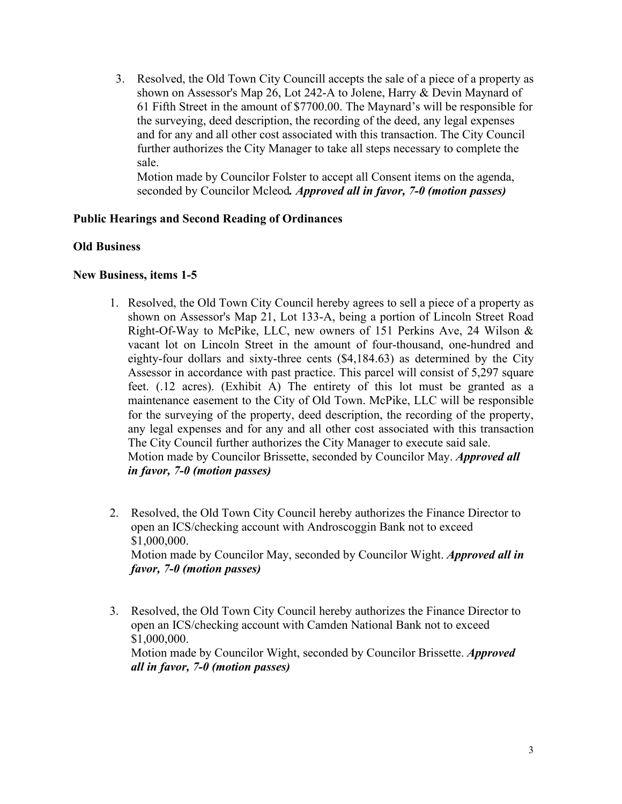3. Resolved, the Old Town City Councill accepts the sale of a piece of a property as shown on Assessor's Map 26, Lot 242-A to Jolene, Harry & Devin Maynard of 61 Fifth Street in the amount of \$7700.00. The Maynard's will be responsible for the surveying, deed description, the recording of the deed, any legal expenses and for any and all other cost associated with this transaction. The City Council further authorizes the City Manager to take all steps necessary to complete the sale.

 Motion made by Councilor Folster to accept all Consent items on the agenda, seconded by Councilor Mcleod*. Approved all in favor, 7-0 (motion passes)*

## **Public Hearings and Second Reading of Ordinances**

#### **Old Business**

#### **New Business, items 1-5**

- 1. Resolved, the Old Town City Council hereby agrees to sell a piece of a property as shown on Assessor's Map 21, Lot 133-A, being a portion of Lincoln Street Road Right-Of-Way to McPike, LLC, new owners of 151 Perkins Ave, 24 Wilson & vacant lot on Lincoln Street in the amount of four-thousand, one-hundred and eighty-four dollars and sixty-three cents (\$4,184.63) as determined by the City Assessor in accordance with past practice. This parcel will consist of 5,297 square feet. (.12 acres). (Exhibit A) The entirety of this lot must be granted as a maintenance easement to the City of Old Town. McPike, LLC will be responsible for the surveying of the property, deed description, the recording of the property, any legal expenses and for any and all other cost associated with this transaction The City Council further authorizes the City Manager to execute said sale. Motion made by Councilor Brissette, seconded by Councilor May. *Approved all in favor, 7-0 (motion passes)*
- 2. Resolved, the Old Town City Council hereby authorizes the Finance Director to open an ICS/checking account with Androscoggin Bank not to exceed \$1,000,000. Motion made by Councilor May, seconded by Councilor Wight. *Approved all in favor, 7-0 (motion passes)*
- 3. Resolved, the Old Town City Council hereby authorizes the Finance Director to open an ICS/checking account with Camden National Bank not to exceed \$1,000,000. Motion made by Councilor Wight, seconded by Councilor Brissette. *Approved all in favor, 7-0 (motion passes)*